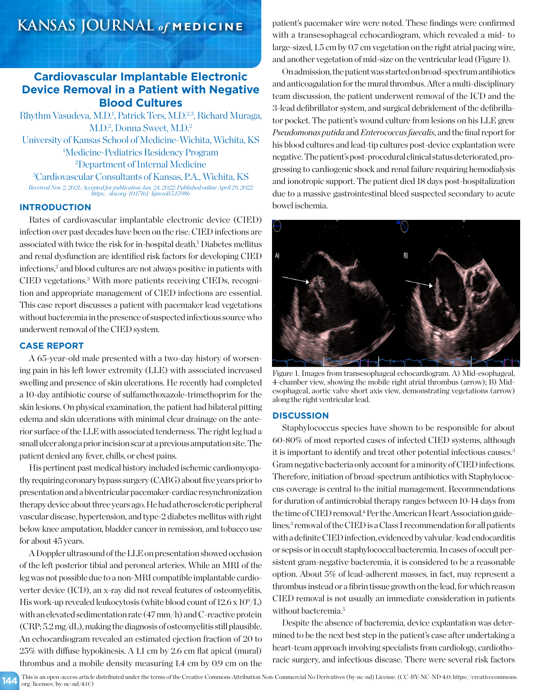# **Cardiovascular Implantable Electronic Device Removal in a Patient with Negative Blood Cultures**

Rhythm Vasudeva, M.D.<sup>1</sup>, Patrick Ters, M.D.<sup>2,3</sup>, Richard Muraga, M.D.<sup>2</sup>, Donna Sweet, M.D.<sup>2</sup> University of Kansas School of Medicine-Wichita, Wichita, KS 1 Medicine-Pediatrics Residency Program 2 Department of Internal Medicine 3 Cardiovascular Consultants of Kansas, P.A., Wichita, KS *Received Nov. 2, 2021; Accepted for publication Jan. 24, 2022; Published online April 29, 2022 https://doi.org/10.17161/kjm.vol15.15986*

## **INTRODUCTION**

Rates of cardiovascular implantable electronic device (CIED) infection over past decades have been on the rise. CIED infections are associated with twice the risk for in-hospital death.<sup>1</sup> Diabetes mellitus and renal dysfunction are identified risk factors for developing CIED infections,<sup>2</sup> and blood cultures are not always positive in patients with CIED vegetations.3 With more patients receiving CIEDs, recognition and appropriate management of CIED infections are essential. This case report discusses a patient with pacemaker lead vegetations without bacteremia in the presence of suspected infectious source who underwent removal of the CIED system.

# **CASE REPORT**

A 65-year-old male presented with a two-day history of worsening pain in his left lower extremity (LLE) with associated increased swelling and presence of skin ulcerations. He recently had completed a 10-day antibiotic course of sulfamethoxazole-trimethoprim for the skin lesions. On physical examination, the patient had bilateral pitting edema and skin ulcerations with minimal clear drainage on the anterior surface of the LLE with associated tenderness. The right leg had a small ulcer along a prior incision scar at a previous amputation site. The patient denied any fever, chills, or chest pains.

His pertinent past medical history included ischemic cardiomyopathy requiring coronary bypass surgery (CABG) about five years prior to presentation and a biventricular pacemaker-cardiac resynchronization therapy device about three years ago. He had atherosclerotic peripheral vascular disease, hypertension, and type-2 diabetes mellitus with right below knee amputation, bladder cancer in remission, and tobacco use for about 45 years.

A Doppler ultrasound of the LLE on presentation showed occlusion of the left posterior tibial and peroneal arteries. While an MRI of the leg was not possible due to a non-MRI compatible implantable cardioverter device (ICD), an x-ray did not reveal features of osteomyelitis. His work-up revealed leukocytosis (white blood count of  $12.6 \times 10^9$ /L) with an elevated sedimentation rate (47 mm/h) and C-reactive protein (CRP; 5.2 mg/dL), making the diagnosis of osteomyelitis still plausible. An echocardiogram revealed an estimated ejection fraction of 20 to 25% with diffuse hypokinesis. A 1.1 cm by 2.6 cm flat apical (mural) thrombus and a mobile density measuring 1.4 cm by 0.9 cm on the

patient's pacemaker wire were noted. These findings were confirmed with a transesophageal echocardiogram, which revealed a mid- to large-sized, 1.5 cm by 0.7 cm vegetation on the right atrial pacing wire, and another vegetation of mid-size on the ventricular lead (Figure 1).

On admission, the patient was started on broad-spectrum antibiotics and anticoagulation for the mural thrombus. After a multi-disciplinary team discussion, the patient underwent removal of the ICD and the 3-lead defibrillator system, and surgical debridement of the defibrillator pocket. The patient's wound culture from lesions on his LLE grew *Pseudomonas putida* and *Enterococcus faecalis*, and the final report for his blood cultures and lead-tip cultures post-device explantation were negative. The patient's post-procedural clinical status deteriorated, progressing to cardiogenic shock and renal failure requiring hemodialysis and ionotropic support. The patient died 18 days post-hospitalization due to a massive gastrointestinal bleed suspected secondary to acute bowel ischemia.



Figure 1. Images from transesophageal echocardiogram. A) Mid-esophageal, 4-chamber view, showing the mobile right atrial thrombus (arrow); B) Midesophageal, aortic valve short axis view, demonstrating vegetations (arrow) along the right ventricular lead.

## **DISCUSSION**

Staphylococcus species have shown to be responsible for about 60-80% of most reported cases of infected CIED systems, although it is important to identify and treat other potential infectious causes.3 Gram negative bacteria only account for a minority of CIED infections. Therefore, initiation of broad-spectrum antibiotics with Staphylococcus coverage is central to the initial management. Recommendations for duration of antimicrobial therapy ranges between 10-14 days from the time of CIED removal.<sup>4</sup> Per the American Heart Association guidelines,<sup>3</sup> removal of the CIED is a Class I recommendation for all patients with a definite CIED infection, evidenced by valvular/lead endocarditis or sepsis or in occult staphylococcal bacteremia. In cases of occult persistent gram-negative bacteremia, it is considered to be a reasonable option. About 5% of lead-adherent masses, in fact, may represent a thrombus instead or a fibrin tissue growth on the lead, for which reason CIED removal is not usually an immediate consideration in patients without bacteremia.<sup>5</sup>

Despite the absence of bacteremia, device explantation was determined to be the next best step in the patient's case after undertaking a heart-team approach involving specialists from cardiology, cardiothoracic surgery, and infectious disease. There were several risk factors